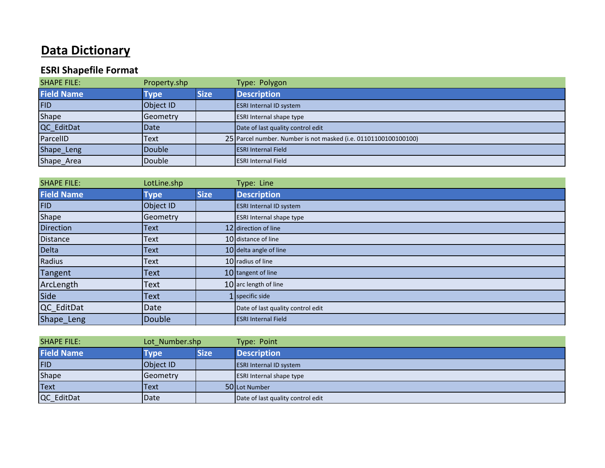## **Data Dictionary**

## **ESRI Shapefile Format**

| <b>SHAPE FILE:</b> | Property.shp |             | Type: Polygon                                                   |
|--------------------|--------------|-------------|-----------------------------------------------------------------|
| <b>Field Name</b>  | <b>Type</b>  | <b>Size</b> | <b>Description</b>                                              |
| <b>FID</b>         | Object ID    |             | <b>ESRI Internal ID system</b>                                  |
| Shape              | Geometry     |             | <b>ESRI Internal shape type</b>                                 |
| QC_EditDat         | <b>Date</b>  |             | Date of last quality control edit                               |
| ParcelID           | Text         |             | 25 Parcel number. Number is not masked (i.e. 01101100100100100) |
| Shape_Leng         | Double       |             | <b>ESRI Internal Field</b>                                      |
| Shape_Area         | Double       |             | <b>ESRI Internal Field</b>                                      |

| <b>SHAPE FILE:</b> | LotLine.shp   |             | Type: Line                        |
|--------------------|---------------|-------------|-----------------------------------|
| <b>Field Name</b>  | <b>Type</b>   | <b>Size</b> | <b>Description</b>                |
| <b>FID</b>         | Object ID     |             | <b>ESRI Internal ID system</b>    |
| Shape              | Geometry      |             | <b>ESRI Internal shape type</b>   |
| <b>Direction</b>   | Text          |             | 12 direction of line              |
| <b>Distance</b>    | Text          |             | 10 distance of line               |
| Delta              | Text          |             | 10 delta angle of line            |
| Radius             | Text          |             | 10 radius of line                 |
| Tangent            | Text          |             | 10 tangent of line                |
| ArcLength          | Text          |             | 10 arc length of line             |
| Side               | Text          |             | $1$ specific side                 |
| QC_EditDat         | Date          |             | Date of last quality control edit |
| Shape_Leng         | <b>Double</b> |             | <b>ESRI Internal Field</b>        |

| <b>SHAPE FILE:</b> | Lot Number.shp |             | Type: Point                       |
|--------------------|----------------|-------------|-----------------------------------|
| <b>Field Name</b>  | Tvpe           | <b>Size</b> | <b>Description</b>                |
| <b>FID</b>         | Object ID      |             | <b>ESRI Internal ID system</b>    |
| <b>Shape</b>       | Geometry       |             | <b>ESRI Internal shape type</b>   |
| Text               | Text           |             | 50 Lot Number                     |
| QC_EditDat         | Date           |             | Date of last quality control edit |